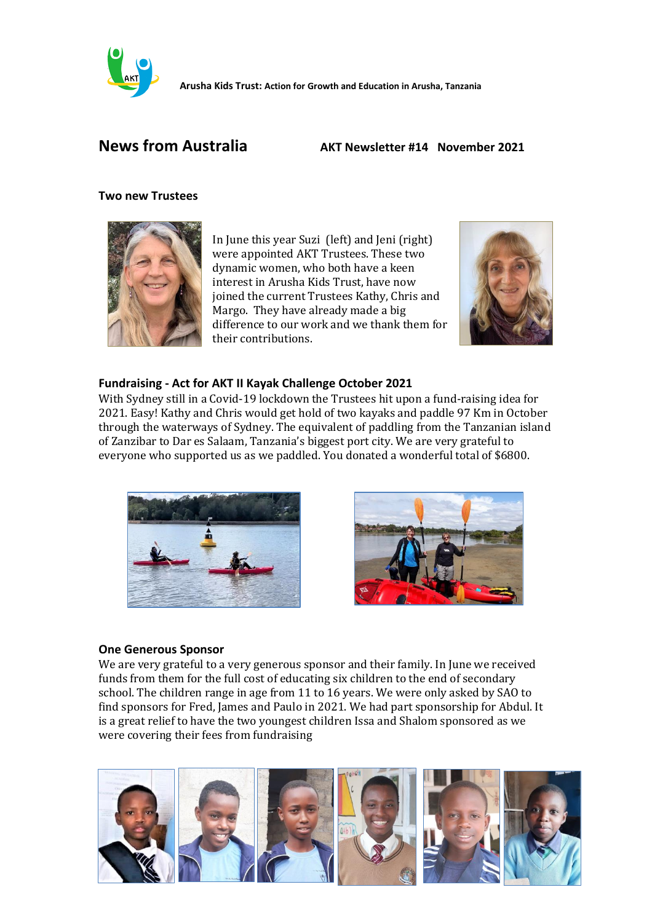

**Arusha Kids Trust: Action for Growth and Education in Arusha, Tanzania**

# **News from Australia AKT Newsletter #14 November 2021**

#### **Two new Trustees**



In June this year Suzi (left) and Jeni (right) were appointed AKT Trustees. These two dynamic women, who both have a keen interest in Arusha Kids Trust, have now joined the current Trustees Kathy, Chris and Margo. They have already made a big difference to our work and we thank them for their contributions.



# **Fundraising - Act for AKT II Kayak Challenge October 2021**

With Sydney still in a Covid-19 lockdown the Trustees hit upon a fund-raising idea for 2021. Easy! Kathy and Chris would get hold of two kayaks and paddle 97 Km in October through the waterways of Sydney. The equivalent of paddling from the Tanzanian island of Zanzibar to Dar es Salaam, Tanzania's biggest port city. We are very grateful to everyone who supported us as we paddled. You donated a wonderful total of \$6800.





## **One Generous Sponsor**

We are very grateful to a very generous sponsor and their family. In June we received funds from them for the full cost of educating six children to the end of secondary school. The children range in age from 11 to 16 years. We were only asked by SAO to find sponsors for Fred, James and Paulo in 2021. We had part sponsorship for Abdul. It is a great relief to have the two youngest children Issa and Shalom sponsored as we were covering their fees from fundraising

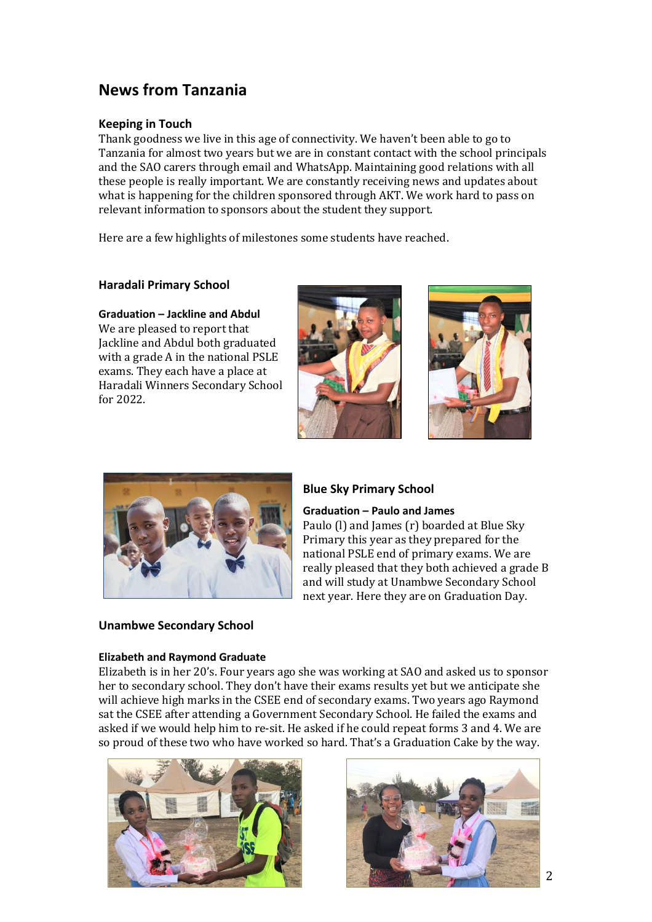# **News from Tanzania**

#### **Keeping in Touch**

Thank goodness we live in this age of connectivity. We haven't been able to go to Tanzania for almost two years but we are in constant contact with the school principals and the SAO carers through email and WhatsApp. Maintaining good relations with all these people is really important. We are constantly receiving news and updates about what is happening for the children sponsored through AKT. We work hard to pass on relevant information to sponsors about the student they support.

Here are a few highlights of milestones some students have reached.

#### **Haradali Primary School**

# **Graduation – Jackline and Abdul**

We are pleased to report that Jackline and Abdul both graduated with a grade A in the national PSLE exams. They each have a place at Haradali Winners Secondary School for 2022.







#### **Blue Sky Primary School**

#### **Graduation – Paulo and James**

Paulo (l) and James (r) boarded at Blue Sky Primary this year as they prepared for the national PSLE end of primary exams. We are really pleased that they both achieved a grade B and will study at Unambwe Secondary School next year. Here they are on Graduation Day.

#### **Unambwe Secondary School**

#### **Elizabeth and Raymond Graduate**

Elizabeth is in her 20's. Four years ago she was working at SAO and asked us to sponsor her to secondary school. They don't have their exams results yet but we anticipate she will achieve high marks in the CSEE end of secondary exams. Two years ago Raymond sat the CSEE after attending a Government Secondary School. He failed the exams and asked if we would help him to re-sit. He asked if he could repeat forms 3 and 4. We are so proud of these two who have worked so hard. That's a Graduation Cake by the way.